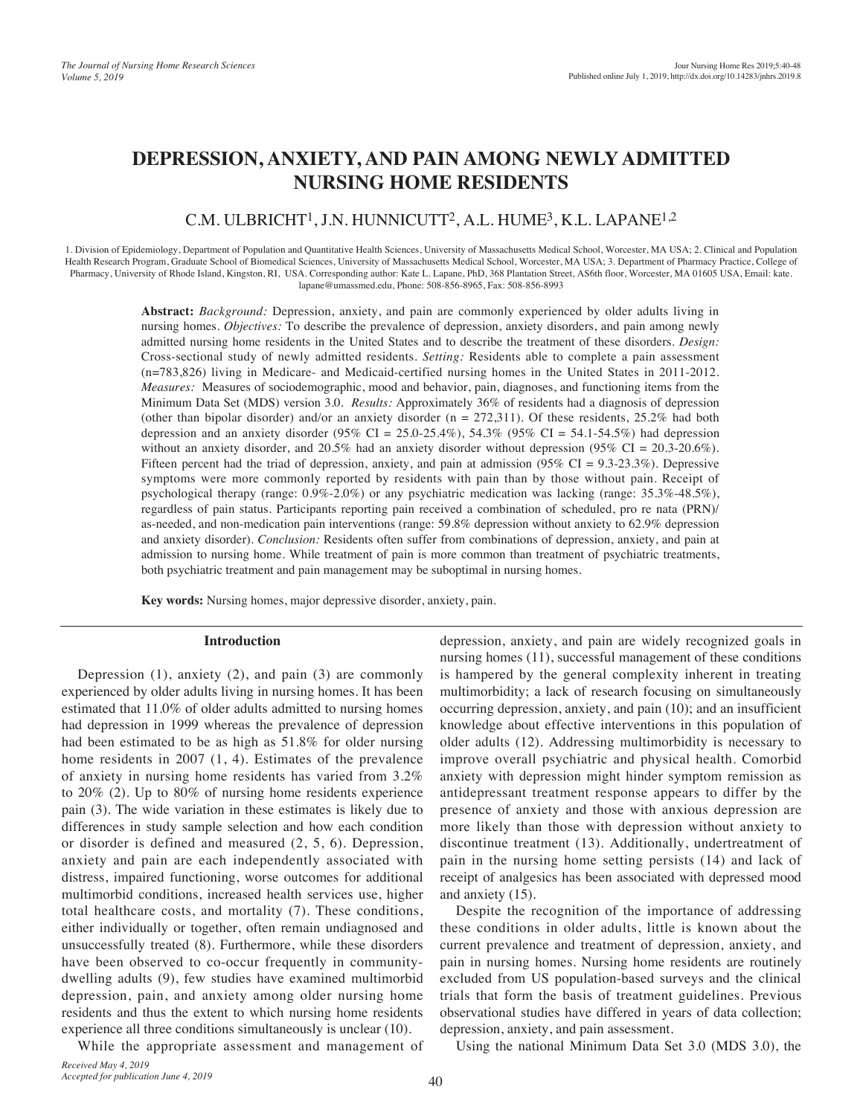# **DEPRESSION, ANXIETY, AND PAIN AMONG NEWLY ADMITTED NURSING HOME RESIDENTS**

## C.M. ULBRICHT<sup>1</sup>, J.N. HUNNICUTT<sup>2</sup>, A.L. HUME<sup>3</sup>, K.L. LAPANE<sup>1,2</sup>

1. Division of Epidemiology, Department of Population and Quantitative Health Sciences, University of Massachusetts Medical School, Worcester, MA USA; 2. Clinical and Population Health Research Program, Graduate School of Biomedical Sciences, University of Massachusetts Medical School, Worcester, MA USA; 3. Department of Pharmacy Practice, College of Pharmacy, University of Rhode Island, Kingston, RI, USA. Corresponding author: Kate L. Lapane, PhD, 368 Plantation Street, AS6th floor, Worcester, MA 01605 USA, Email: kate. lapane@umassmed.edu, Phone: 508-856-8965, Fax: 508-856-8993

> **Abstract:** *Background:* Depression, anxiety, and pain are commonly experienced by older adults living in nursing homes. *Objectives:* To describe the prevalence of depression, anxiety disorders, and pain among newly admitted nursing home residents in the United States and to describe the treatment of these disorders. *Design:* Cross-sectional study of newly admitted residents. *Setting:* Residents able to complete a pain assessment (n=783,826) living in Medicare- and Medicaid-certified nursing homes in the United States in 2011-2012. *Measures:* Measures of sociodemographic, mood and behavior, pain, diagnoses, and functioning items from the Minimum Data Set (MDS) version 3.0. *Results:* Approximately 36% of residents had a diagnosis of depression (other than bipolar disorder) and/or an anxiety disorder  $(n = 272,311)$ . Of these residents, 25.2% had both depression and an anxiety disorder (95% CI = 25.0-25.4%), 54.3% (95% CI = 54.1-54.5%) had depression without an anxiety disorder, and 20.5% had an anxiety disorder without depression (95% CI = 20.3-20.6%). Fifteen percent had the triad of depression, anxiety, and pain at admission (95% CI = 9.3-23.3%). Depressive symptoms were more commonly reported by residents with pain than by those without pain. Receipt of psychological therapy (range: 0.9%-2.0%) or any psychiatric medication was lacking (range: 35.3%-48.5%), regardless of pain status. Participants reporting pain received a combination of scheduled, pro re nata (PRN)/ as-needed, and non-medication pain interventions (range: 59.8% depression without anxiety to 62.9% depression and anxiety disorder). *Conclusion:* Residents often suffer from combinations of depression, anxiety, and pain at admission to nursing home. While treatment of pain is more common than treatment of psychiatric treatments, both psychiatric treatment and pain management may be suboptimal in nursing homes.

**Key words:** Nursing homes, major depressive disorder, anxiety, pain.

#### **Introduction**

Depression (1), anxiety (2), and pain (3) are commonly experienced by older adults living in nursing homes. It has been estimated that 11.0% of older adults admitted to nursing homes had depression in 1999 whereas the prevalence of depression had been estimated to be as high as 51.8% for older nursing home residents in 2007 (1, 4). Estimates of the prevalence of anxiety in nursing home residents has varied from 3.2% to 20% (2). Up to 80% of nursing home residents experience pain (3). The wide variation in these estimates is likely due to differences in study sample selection and how each condition or disorder is defined and measured (2, 5, 6). Depression, anxiety and pain are each independently associated with distress, impaired functioning, worse outcomes for additional multimorbid conditions, increased health services use, higher total healthcare costs, and mortality (7). These conditions, either individually or together, often remain undiagnosed and unsuccessfully treated (8). Furthermore, while these disorders have been observed to co-occur frequently in communitydwelling adults (9), few studies have examined multimorbid depression, pain, and anxiety among older nursing home residents and thus the extent to which nursing home residents experience all three conditions simultaneously is unclear (10).

While the appropriate assessment and management of

depression, anxiety, and pain are widely recognized goals in nursing homes (11), successful management of these conditions is hampered by the general complexity inherent in treating multimorbidity; a lack of research focusing on simultaneously occurring depression, anxiety, and pain (10); and an insufficient knowledge about effective interventions in this population of older adults (12). Addressing multimorbidity is necessary to improve overall psychiatric and physical health. Comorbid anxiety with depression might hinder symptom remission as antidepressant treatment response appears to differ by the presence of anxiety and those with anxious depression are more likely than those with depression without anxiety to discontinue treatment (13). Additionally, undertreatment of pain in the nursing home setting persists (14) and lack of receipt of analgesics has been associated with depressed mood and anxiety (15).

Despite the recognition of the importance of addressing these conditions in older adults, little is known about the current prevalence and treatment of depression, anxiety, and pain in nursing homes. Nursing home residents are routinely excluded from US population-based surveys and the clinical trials that form the basis of treatment guidelines. Previous observational studies have differed in years of data collection; depression, anxiety, and pain assessment.

Using the national Minimum Data Set 3.0 (MDS 3.0), the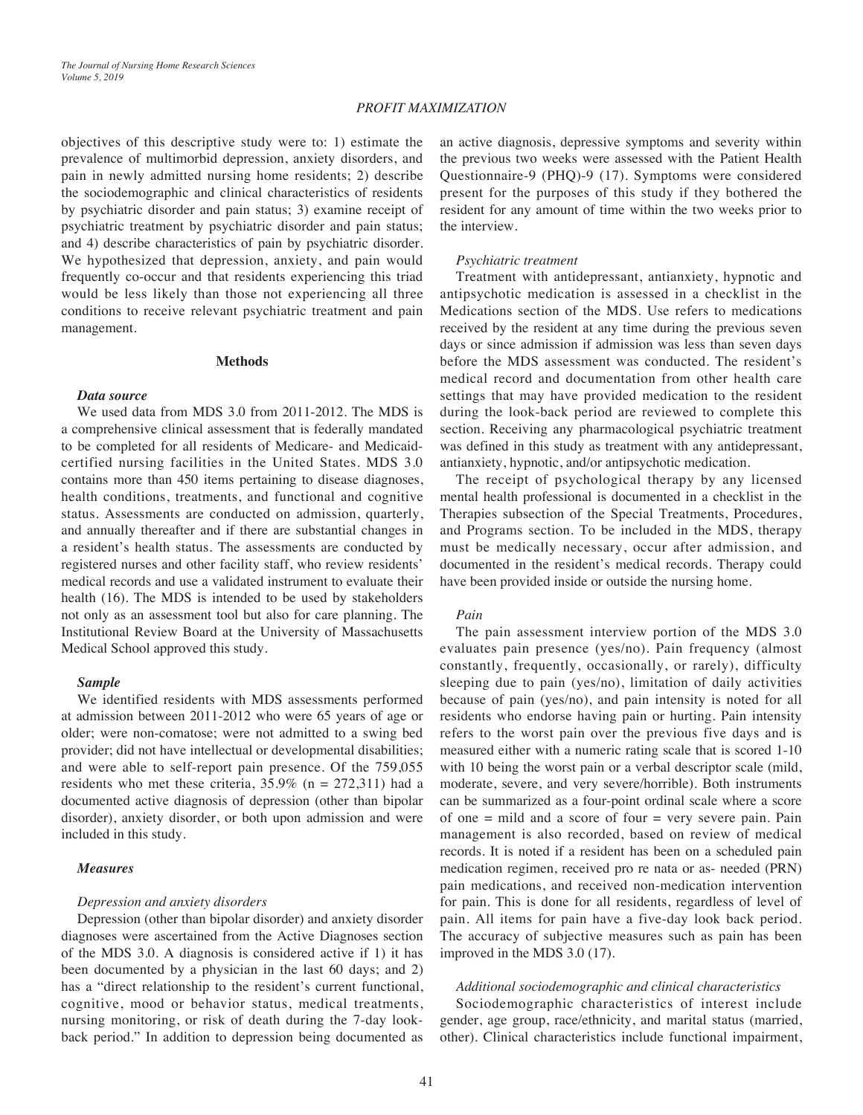## *PROFIT MAXIMIZATION*

objectives of this descriptive study were to: 1) estimate the prevalence of multimorbid depression, anxiety disorders, and pain in newly admitted nursing home residents; 2) describe the sociodemographic and clinical characteristics of residents by psychiatric disorder and pain status; 3) examine receipt of psychiatric treatment by psychiatric disorder and pain status; and 4) describe characteristics of pain by psychiatric disorder. We hypothesized that depression, anxiety, and pain would frequently co-occur and that residents experiencing this triad would be less likely than those not experiencing all three conditions to receive relevant psychiatric treatment and pain management.

#### **Methods**

## *Data source*

We used data from MDS 3.0 from 2011-2012. The MDS is a comprehensive clinical assessment that is federally mandated to be completed for all residents of Medicare- and Medicaidcertified nursing facilities in the United States. MDS 3.0 contains more than 450 items pertaining to disease diagnoses, health conditions, treatments, and functional and cognitive status. Assessments are conducted on admission, quarterly, and annually thereafter and if there are substantial changes in a resident's health status. The assessments are conducted by registered nurses and other facility staff, who review residents' medical records and use a validated instrument to evaluate their health (16). The MDS is intended to be used by stakeholders not only as an assessment tool but also for care planning. The Institutional Review Board at the University of Massachusetts Medical School approved this study.

#### *Sample*

We identified residents with MDS assessments performed at admission between 2011-2012 who were 65 years of age or older; were non-comatose; were not admitted to a swing bed provider; did not have intellectual or developmental disabilities; and were able to self-report pain presence. Of the 759,055 residents who met these criteria,  $35.9\%$  (n = 272,311) had a documented active diagnosis of depression (other than bipolar disorder), anxiety disorder, or both upon admission and were included in this study.

#### *Measures*

#### *Depression and anxiety disorders*

Depression (other than bipolar disorder) and anxiety disorder diagnoses were ascertained from the Active Diagnoses section of the MDS 3.0. A diagnosis is considered active if 1) it has been documented by a physician in the last 60 days; and 2) has a "direct relationship to the resident's current functional, cognitive, mood or behavior status, medical treatments, nursing monitoring, or risk of death during the 7-day lookback period." In addition to depression being documented as

an active diagnosis, depressive symptoms and severity within the previous two weeks were assessed with the Patient Health Questionnaire-9 (PHQ)-9 (17). Symptoms were considered present for the purposes of this study if they bothered the resident for any amount of time within the two weeks prior to the interview.

#### *Psychiatric treatment*

Treatment with antidepressant, antianxiety, hypnotic and antipsychotic medication is assessed in a checklist in the Medications section of the MDS. Use refers to medications received by the resident at any time during the previous seven days or since admission if admission was less than seven days before the MDS assessment was conducted. The resident's medical record and documentation from other health care settings that may have provided medication to the resident during the look-back period are reviewed to complete this section. Receiving any pharmacological psychiatric treatment was defined in this study as treatment with any antidepressant, antianxiety, hypnotic, and/or antipsychotic medication.

The receipt of psychological therapy by any licensed mental health professional is documented in a checklist in the Therapies subsection of the Special Treatments, Procedures, and Programs section. To be included in the MDS, therapy must be medically necessary, occur after admission, and documented in the resident's medical records. Therapy could have been provided inside or outside the nursing home.

#### *Pain*

The pain assessment interview portion of the MDS 3.0 evaluates pain presence (yes/no). Pain frequency (almost constantly, frequently, occasionally, or rarely), difficulty sleeping due to pain (yes/no), limitation of daily activities because of pain (yes/no), and pain intensity is noted for all residents who endorse having pain or hurting. Pain intensity refers to the worst pain over the previous five days and is measured either with a numeric rating scale that is scored 1-10 with 10 being the worst pain or a verbal descriptor scale (mild, moderate, severe, and very severe/horrible). Both instruments can be summarized as a four-point ordinal scale where a score of one  $=$  mild and a score of four  $=$  very severe pain. Pain management is also recorded, based on review of medical records. It is noted if a resident has been on a scheduled pain medication regimen, received pro re nata or as- needed (PRN) pain medications, and received non-medication intervention for pain. This is done for all residents, regardless of level of pain. All items for pain have a five-day look back period. The accuracy of subjective measures such as pain has been improved in the MDS 3.0 (17).

#### *Additional sociodemographic and clinical characteristics*

Sociodemographic characteristics of interest include gender, age group, race/ethnicity, and marital status (married, other). Clinical characteristics include functional impairment,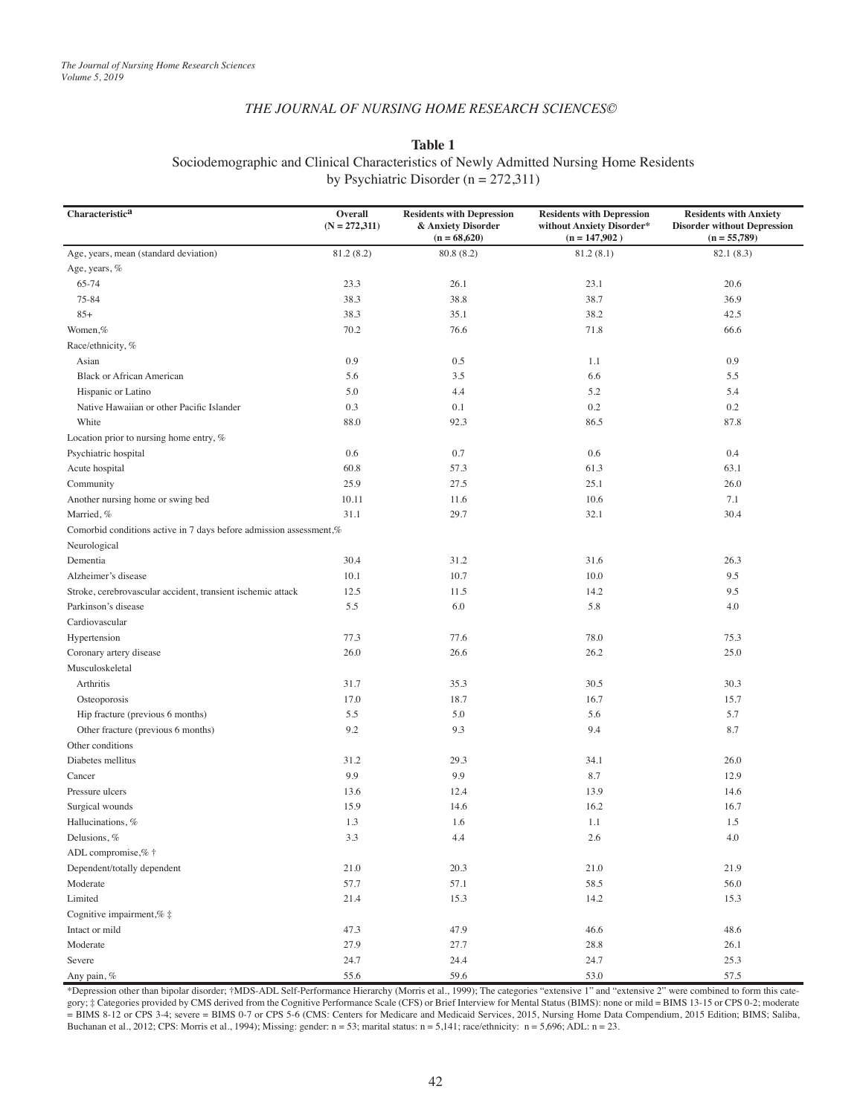#### **Table 1**

## Sociodemographic and Clinical Characteristics of Newly Admitted Nursing Home Residents by Psychiatric Disorder ( $n = 272,311$ )

| Characteristica                                                    | Overall<br>$(N = 272,311)$ | <b>Residents with Depression</b><br>& Anxiety Disorder<br>$(n = 68,620)$ | <b>Residents with Depression</b><br>without Anxiety Disorder*<br>$(n = 147,902)$ | <b>Residents with Anxiety</b><br><b>Disorder without Depression</b><br>$(n = 55,789)$ |
|--------------------------------------------------------------------|----------------------------|--------------------------------------------------------------------------|----------------------------------------------------------------------------------|---------------------------------------------------------------------------------------|
| Age, years, mean (standard deviation)                              | 81.2 (8.2)                 | 80.8 (8.2)                                                               | 81.2(8.1)                                                                        | 82.1 (8.3)                                                                            |
| Age, years, %                                                      |                            |                                                                          |                                                                                  |                                                                                       |
| 65-74                                                              | 23.3                       | 26.1                                                                     | 23.1                                                                             | 20.6                                                                                  |
| 75-84                                                              | 38.3                       | 38.8                                                                     | 38.7                                                                             | 36.9                                                                                  |
| $85+$                                                              | 38.3                       | 35.1                                                                     | 38.2                                                                             | 42.5                                                                                  |
| Women,%                                                            | 70.2                       | 76.6                                                                     | 71.8                                                                             | 66.6                                                                                  |
| Race/ethnicity, %                                                  |                            |                                                                          |                                                                                  |                                                                                       |
| Asian                                                              | 0.9                        | 0.5                                                                      | 1.1                                                                              | 0.9                                                                                   |
| <b>Black or African American</b>                                   | 5.6                        | 3.5                                                                      | 6.6                                                                              | 5.5                                                                                   |
| Hispanic or Latino                                                 | 5.0                        | 4.4                                                                      | 5.2                                                                              | 5.4                                                                                   |
| Native Hawaiian or other Pacific Islander                          | 0.3                        | 0.1                                                                      | 0.2                                                                              | 0.2                                                                                   |
| White                                                              | 88.0                       | 92.3                                                                     | 86.5                                                                             | 87.8                                                                                  |
| Location prior to nursing home entry, $%$                          |                            |                                                                          |                                                                                  |                                                                                       |
| Psychiatric hospital                                               | 0.6                        | 0.7                                                                      | 0.6                                                                              | 0.4                                                                                   |
| Acute hospital                                                     | 60.8                       | 57.3                                                                     | 61.3                                                                             | 63.1                                                                                  |
| Community                                                          | 25.9                       | 27.5                                                                     | 25.1                                                                             | 26.0                                                                                  |
| Another nursing home or swing bed                                  | 10.11                      | 11.6                                                                     | 10.6                                                                             | 7.1                                                                                   |
| Married, %                                                         | 31.1                       | 29.7                                                                     | 32.1                                                                             | 30.4                                                                                  |
| Comorbid conditions active in 7 days before admission assessment,% |                            |                                                                          |                                                                                  |                                                                                       |
| Neurological                                                       |                            |                                                                          |                                                                                  |                                                                                       |
| Dementia                                                           | 30.4                       | 31.2                                                                     | 31.6                                                                             | 26.3                                                                                  |
| Alzheimer's disease                                                | 10.1                       | 10.7                                                                     | 10.0                                                                             | 9.5                                                                                   |
| Stroke, cerebrovascular accident, transient ischemic attack        | 12.5                       | 11.5                                                                     | 14.2                                                                             | 9.5                                                                                   |
| Parkinson's disease                                                | 5.5                        | 6.0                                                                      | 5.8                                                                              | 4.0                                                                                   |
| Cardiovascular                                                     |                            |                                                                          |                                                                                  |                                                                                       |
| Hypertension                                                       | 77.3                       | 77.6                                                                     | 78.0                                                                             | 75.3                                                                                  |
| Coronary artery disease                                            | 26.0                       | 26.6                                                                     | 26.2                                                                             | 25.0                                                                                  |
| Musculoskeletal                                                    |                            |                                                                          |                                                                                  |                                                                                       |
| Arthritis                                                          | 31.7                       | 35.3                                                                     | 30.5                                                                             | 30.3                                                                                  |
| Osteoporosis                                                       | 17.0                       | 18.7                                                                     | 16.7                                                                             | 15.7                                                                                  |
| Hip fracture (previous 6 months)                                   | 5.5                        | 5.0                                                                      | 5.6                                                                              | 5.7                                                                                   |
| Other fracture (previous 6 months)                                 | 9.2                        | 9.3                                                                      | 9.4                                                                              | 8.7                                                                                   |
| Other conditions                                                   |                            |                                                                          |                                                                                  |                                                                                       |
| Diabetes mellitus                                                  | 31.2                       | 29.3                                                                     | 34.1                                                                             | 26.0                                                                                  |
| Cancer                                                             | 9.9                        | 9.9                                                                      | 8.7                                                                              | 12.9                                                                                  |
| Pressure ulcers                                                    | 13.6                       | 12.4                                                                     | 13.9                                                                             | 14.6                                                                                  |
| Surgical wounds                                                    | 15.9                       | 14.6                                                                     | 16.2                                                                             | 16.7                                                                                  |
| Hallucinations, %                                                  | 1.3                        | 1.6                                                                      | 1.1                                                                              | 1.5                                                                                   |
| Delusions, %                                                       | 3.3                        | 4.4                                                                      | 2.6                                                                              | 4.0                                                                                   |
| ADL compromise,% $\dagger$                                         |                            |                                                                          |                                                                                  |                                                                                       |
| Dependent/totally dependent                                        | 21.0                       | 20.3                                                                     | 21.0                                                                             | 21.9                                                                                  |
| Moderate                                                           | 57.7                       | 57.1                                                                     | 58.5                                                                             | 56.0                                                                                  |
| Limited                                                            | 21.4                       | 15.3                                                                     | 14.2                                                                             | 15.3                                                                                  |
| Cognitive impairment,% ‡                                           |                            |                                                                          |                                                                                  |                                                                                       |
| Intact or mild                                                     | 47.3                       | 47.9                                                                     | 46.6                                                                             | 48.6                                                                                  |
| Moderate                                                           | 27.9                       | 27.7                                                                     | 28.8                                                                             | 26.1                                                                                  |
| Severe                                                             | 24.7                       | 24.4                                                                     | 24.7                                                                             | 25.3                                                                                  |
| Any pain, %                                                        | 55.6                       | 59.6                                                                     | 53.0                                                                             | 57.5                                                                                  |

\*Depression other than bipolar disorder; †MDS-ADL Self-Performance Hierarchy (Morris et al., 1999); The categories "extensive 1" and "extensive 2" were combined to form this category; ‡ Categories provided by CMS derived from the Cognitive Performance Scale (CFS) or Brief Interview for Mental Status (BIMS): none or mild = BIMS 13-15 or CPS 0-2; moderate = BIMS 8-12 or CPS 3-4; severe = BIMS 0-7 or CPS 5-6 (CMS: Centers for Medicare and Medicaid Services, 2015, Nursing Home Data Compendium, 2015 Edition; BIMS; Saliba, Buchanan et al., 2012; CPS: Morris et al., 1994); Missing: gender: n = 53; marital status: n = 5,141; race/ethnicity: n = 5,696; ADL: n = 23.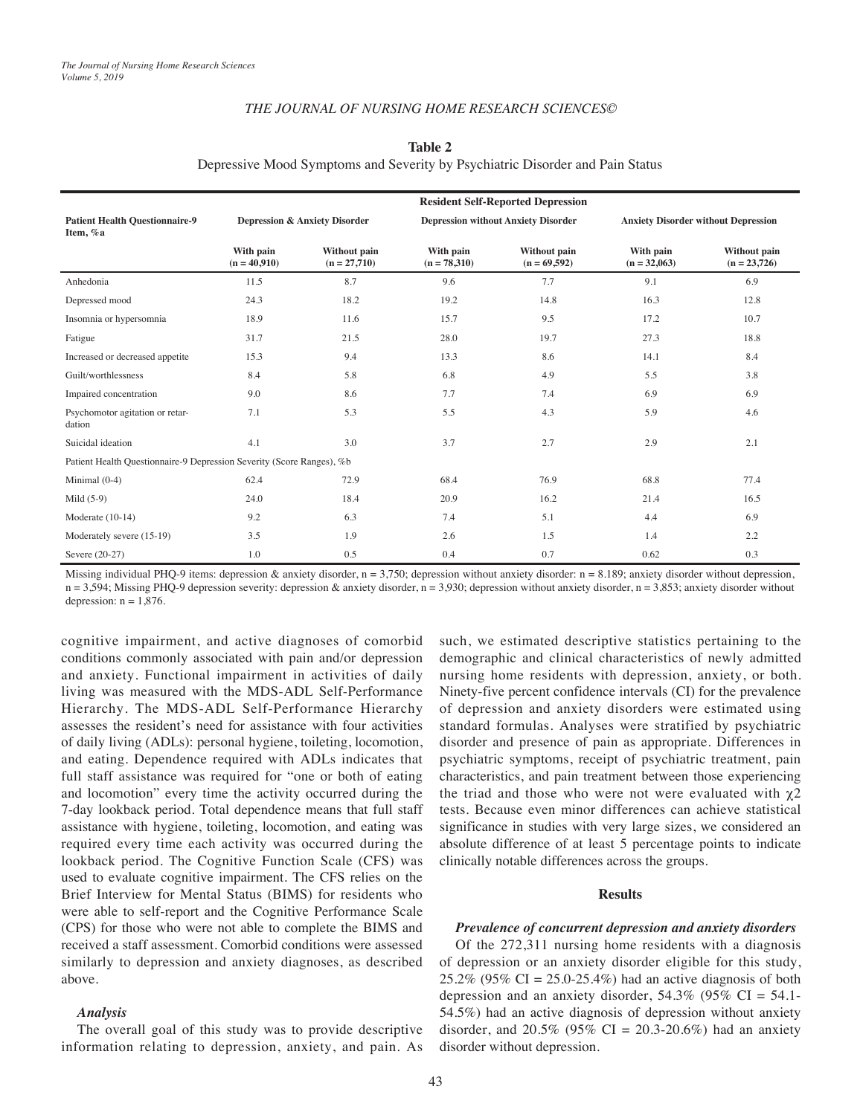#### **Table 2**

### Depressive Mood Symptoms and Severity by Psychiatric Disorder and Pain Status

|                                                                       |                                          | <b>Resident Self-Reported Depression</b> |                                            |                                |                                            |                                |  |
|-----------------------------------------------------------------------|------------------------------------------|------------------------------------------|--------------------------------------------|--------------------------------|--------------------------------------------|--------------------------------|--|
| <b>Patient Health Questionnaire-9</b><br>Item, %a                     | <b>Depression &amp; Anxiety Disorder</b> |                                          | <b>Depression without Anxiety Disorder</b> |                                | <b>Anxiety Disorder without Depression</b> |                                |  |
|                                                                       | With pain<br>$(n = 40.910)$              | Without pain<br>$(n = 27,710)$           | With pain<br>$(n = 78,310)$                | Without pain<br>$(n = 69,592)$ | With pain<br>$(n = 32,063)$                | Without pain<br>$(n = 23,726)$ |  |
| Anhedonia                                                             | 11.5                                     | 8.7                                      | 9.6                                        | 7.7                            | 9.1                                        | 6.9                            |  |
| Depressed mood                                                        | 24.3                                     | 18.2                                     | 19.2                                       | 14.8                           | 16.3                                       | 12.8                           |  |
| Insomnia or hypersomnia                                               | 18.9                                     | 11.6                                     | 15.7                                       | 9.5                            | 17.2                                       | 10.7                           |  |
| Fatigue                                                               | 31.7                                     | 21.5                                     | 28.0                                       | 19.7                           | 27.3                                       | 18.8                           |  |
| Increased or decreased appetite                                       | 15.3                                     | 9.4                                      | 13.3                                       | 8.6                            | 14.1                                       | 8.4                            |  |
| Guilt/worthlessness                                                   | 8.4                                      | 5.8                                      | 6.8                                        | 4.9                            | 5.5                                        | 3.8                            |  |
| Impaired concentration                                                | 9.0                                      | 8.6                                      | 7.7                                        | 7.4                            | 6.9                                        | 6.9                            |  |
| Psychomotor agitation or retar-<br>dation                             | 7.1                                      | 5.3                                      | 5.5                                        | 4.3                            | 5.9                                        | 4.6                            |  |
| Suicidal ideation                                                     | 4.1                                      | 3.0                                      | 3.7                                        | 2.7                            | 2.9                                        | 2.1                            |  |
| Patient Health Questionnaire-9 Depression Severity (Score Ranges), %b |                                          |                                          |                                            |                                |                                            |                                |  |
| Minimal $(0-4)$                                                       | 62.4                                     | 72.9                                     | 68.4                                       | 76.9                           | 68.8                                       | 77.4                           |  |
| Mild $(5-9)$                                                          | 24.0                                     | 18.4                                     | 20.9                                       | 16.2                           | 21.4                                       | 16.5                           |  |
| Moderate $(10-14)$                                                    | 9.2                                      | 6.3                                      | 7.4                                        | 5.1                            | 4.4                                        | 6.9                            |  |
| Moderately severe (15-19)                                             | 3.5                                      | 1.9                                      | 2.6                                        | 1.5                            | 1.4                                        | 2.2                            |  |
| Severe (20-27)                                                        | 1.0                                      | 0.5                                      | 0.4                                        | 0.7                            | 0.62                                       | 0.3                            |  |

Missing individual PHQ-9 items: depression & anxiety disorder,  $n = 3,750$ ; depression without anxiety disorder:  $n = 8.189$ ; anxiety disorder without depression, n = 3,594; Missing PHQ-9 depression severity: depression & anxiety disorder, n = 3,930; depression without anxiety disorder, n = 3,853; anxiety disorder without depression:  $n = 1,876$ .

cognitive impairment, and active diagnoses of comorbid conditions commonly associated with pain and/or depression and anxiety. Functional impairment in activities of daily living was measured with the MDS-ADL Self-Performance Hierarchy. The MDS-ADL Self-Performance Hierarchy assesses the resident's need for assistance with four activities of daily living (ADLs): personal hygiene, toileting, locomotion, and eating. Dependence required with ADLs indicates that full staff assistance was required for "one or both of eating and locomotion" every time the activity occurred during the 7-day lookback period. Total dependence means that full staff assistance with hygiene, toileting, locomotion, and eating was required every time each activity was occurred during the lookback period. The Cognitive Function Scale (CFS) was used to evaluate cognitive impairment. The CFS relies on the Brief Interview for Mental Status (BIMS) for residents who were able to self-report and the Cognitive Performance Scale (CPS) for those who were not able to complete the BIMS and received a staff assessment. Comorbid conditions were assessed similarly to depression and anxiety diagnoses, as described above.

#### *Analysis*

The overall goal of this study was to provide descriptive information relating to depression, anxiety, and pain. As

such, we estimated descriptive statistics pertaining to the demographic and clinical characteristics of newly admitted nursing home residents with depression, anxiety, or both. Ninety-five percent confidence intervals (CI) for the prevalence of depression and anxiety disorders were estimated using standard formulas. Analyses were stratified by psychiatric disorder and presence of pain as appropriate. Differences in psychiatric symptoms, receipt of psychiatric treatment, pain characteristics, and pain treatment between those experiencing the triad and those who were not were evaluated with  $\chi$ 2 tests. Because even minor differences can achieve statistical significance in studies with very large sizes, we considered an absolute difference of at least 5 percentage points to indicate clinically notable differences across the groups.

#### **Results**

### *Prevalence of concurrent depression and anxiety disorders*

Of the 272,311 nursing home residents with a diagnosis of depression or an anxiety disorder eligible for this study, 25.2% (95% CI = 25.0-25.4%) had an active diagnosis of both depression and an anxiety disorder,  $54.3\%$  (95% CI = 54.1-54.5%) had an active diagnosis of depression without anxiety disorder, and 20.5% (95% CI = 20.3-20.6%) had an anxiety disorder without depression.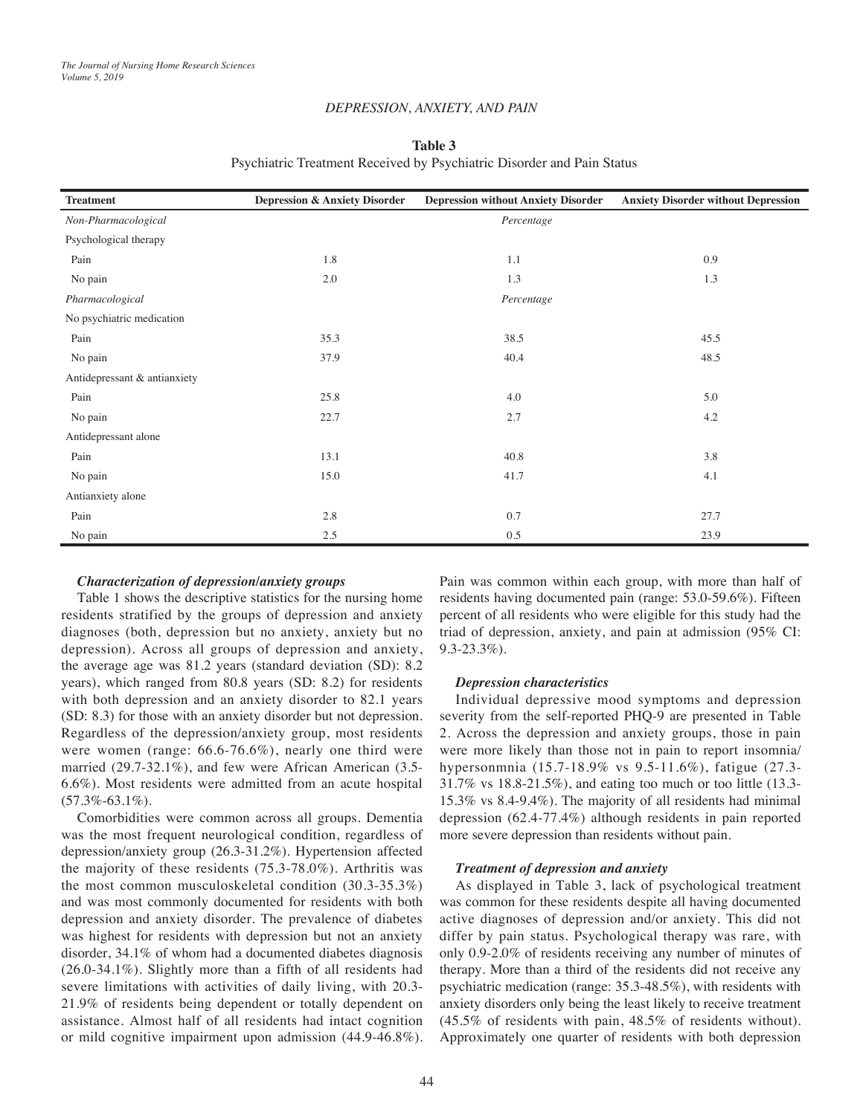### *DEPRESSION, ANXIETY, AND PAIN*

#### **Table 3**

### Psychiatric Treatment Received by Psychiatric Disorder and Pain Status

| <b>Treatment</b>             | <b>Depression &amp; Anxiety Disorder</b> | <b>Depression without Anxiety Disorder</b> | <b>Anxiety Disorder without Depression</b> |  |  |
|------------------------------|------------------------------------------|--------------------------------------------|--------------------------------------------|--|--|
| Non-Pharmacological          |                                          | Percentage                                 |                                            |  |  |
| Psychological therapy        |                                          |                                            |                                            |  |  |
| Pain                         | 1.8                                      | 1.1                                        | 0.9                                        |  |  |
| No pain                      | 2.0                                      | 1.3                                        | 1.3                                        |  |  |
| Pharmacological              | Percentage                               |                                            |                                            |  |  |
| No psychiatric medication    |                                          |                                            |                                            |  |  |
| Pain                         | 35.3                                     | 38.5                                       | 45.5                                       |  |  |
| No pain                      | 37.9                                     | 40.4                                       | 48.5                                       |  |  |
| Antidepressant & antianxiety |                                          |                                            |                                            |  |  |
| Pain                         | 25.8                                     | 4.0                                        | 5.0                                        |  |  |
| No pain                      | 22.7                                     | 2.7                                        | 4.2                                        |  |  |
| Antidepressant alone         |                                          |                                            |                                            |  |  |
| Pain                         | 13.1                                     | 40.8                                       | 3.8                                        |  |  |
| No pain                      | 15.0                                     | 41.7                                       | 4.1                                        |  |  |
| Antianxiety alone            |                                          |                                            |                                            |  |  |
| Pain                         | 2.8                                      | 0.7                                        | 27.7                                       |  |  |
| No pain                      | 2.5                                      | 0.5                                        | 23.9                                       |  |  |

## *Characterization of depression/anxiety groups*

Table 1 shows the descriptive statistics for the nursing home residents stratified by the groups of depression and anxiety diagnoses (both, depression but no anxiety, anxiety but no depression). Across all groups of depression and anxiety, the average age was 81.2 years (standard deviation (SD): 8.2 years), which ranged from 80.8 years (SD: 8.2) for residents with both depression and an anxiety disorder to 82.1 years (SD: 8.3) for those with an anxiety disorder but not depression. Regardless of the depression/anxiety group, most residents were women (range: 66.6-76.6%), nearly one third were married (29.7-32.1%), and few were African American (3.5- 6.6%). Most residents were admitted from an acute hospital  $(57.3\% - 63.1\%)$ .

Comorbidities were common across all groups. Dementia was the most frequent neurological condition, regardless of depression/anxiety group (26.3-31.2%). Hypertension affected the majority of these residents (75.3-78.0%). Arthritis was the most common musculoskeletal condition (30.3-35.3%) and was most commonly documented for residents with both depression and anxiety disorder. The prevalence of diabetes was highest for residents with depression but not an anxiety disorder, 34.1% of whom had a documented diabetes diagnosis (26.0-34.1%). Slightly more than a fifth of all residents had severe limitations with activities of daily living, with 20.3- 21.9% of residents being dependent or totally dependent on assistance. Almost half of all residents had intact cognition or mild cognitive impairment upon admission (44.9-46.8%).

Pain was common within each group, with more than half of residents having documented pain (range: 53.0-59.6%). Fifteen percent of all residents who were eligible for this study had the triad of depression, anxiety, and pain at admission (95% CI: 9.3-23.3%).

### *Depression characteristics*

Individual depressive mood symptoms and depression severity from the self-reported PHQ-9 are presented in Table 2. Across the depression and anxiety groups, those in pain were more likely than those not in pain to report insomnia/ hypersonmnia (15.7-18.9% vs 9.5-11.6%), fatigue (27.3- 31.7% vs 18.8-21.5%), and eating too much or too little (13.3- 15.3% vs 8.4-9.4%). The majority of all residents had minimal depression (62.4-77.4%) although residents in pain reported more severe depression than residents without pain.

#### *Treatment of depression and anxiety*

As displayed in Table 3, lack of psychological treatment was common for these residents despite all having documented active diagnoses of depression and/or anxiety. This did not differ by pain status. Psychological therapy was rare, with only 0.9-2.0% of residents receiving any number of minutes of therapy. More than a third of the residents did not receive any psychiatric medication (range: 35.3-48.5%), with residents with anxiety disorders only being the least likely to receive treatment (45.5% of residents with pain, 48.5% of residents without). Approximately one quarter of residents with both depression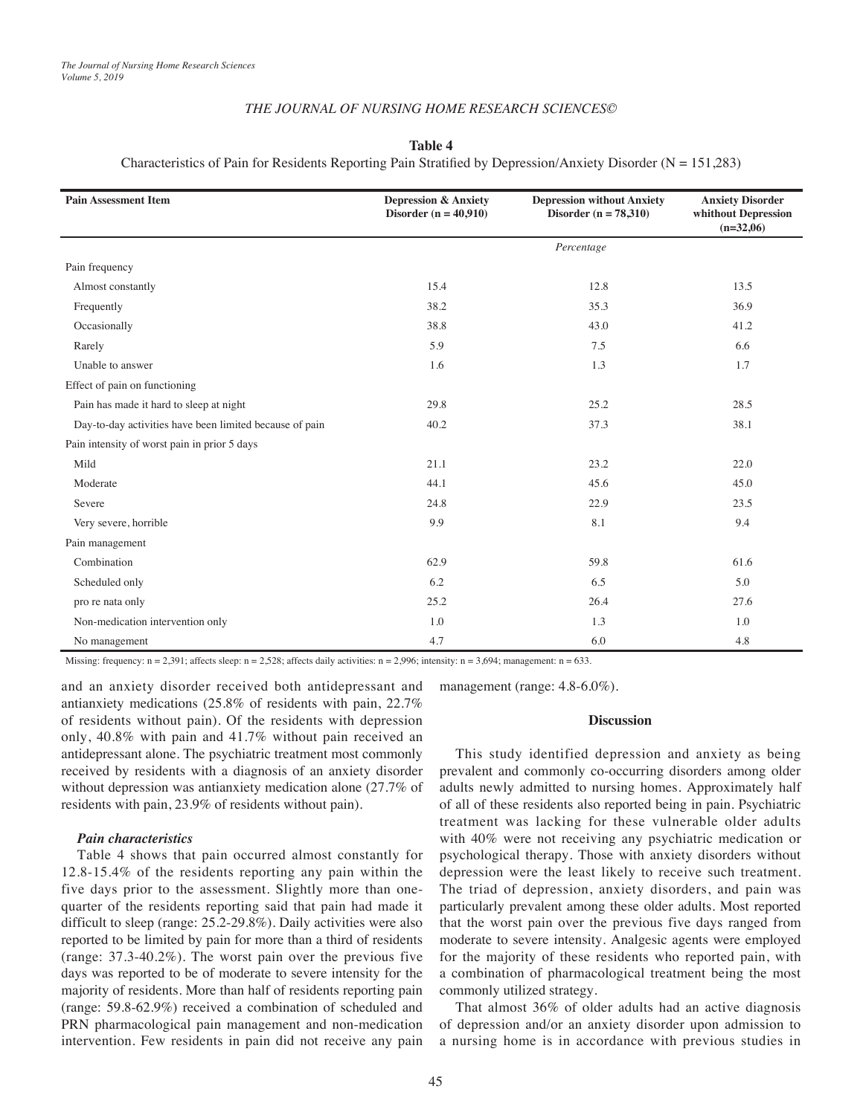## **Table 4**

## Characteristics of Pain for Residents Reporting Pain Stratified by Depression/Anxiety Disorder (N = 151,283)

| <b>Pain Assessment Item</b>                             | <b>Depression &amp; Anxiety</b><br>Disorder ( $n = 40,910$ ) | <b>Depression without Anxiety</b><br>Disorder ( $n = 78,310$ ) | <b>Anxiety Disorder</b><br>whithout Depression<br>$(n=32,06)$ |
|---------------------------------------------------------|--------------------------------------------------------------|----------------------------------------------------------------|---------------------------------------------------------------|
|                                                         |                                                              | Percentage                                                     |                                                               |
| Pain frequency                                          |                                                              |                                                                |                                                               |
| Almost constantly                                       | 15.4                                                         | 12.8                                                           | 13.5                                                          |
| Frequently                                              | 38.2                                                         | 35.3                                                           | 36.9                                                          |
| Occasionally                                            | 38.8                                                         | 43.0                                                           | 41.2                                                          |
| Rarely                                                  | 5.9                                                          | 7.5                                                            | 6.6                                                           |
| Unable to answer                                        | 1.6                                                          | 1.3                                                            | 1.7                                                           |
| Effect of pain on functioning                           |                                                              |                                                                |                                                               |
| Pain has made it hard to sleep at night                 | 29.8                                                         | 25.2                                                           | 28.5                                                          |
| Day-to-day activities have been limited because of pain | 40.2                                                         | 37.3                                                           | 38.1                                                          |
| Pain intensity of worst pain in prior 5 days            |                                                              |                                                                |                                                               |
| Mild                                                    | 21.1                                                         | 23.2                                                           | 22.0                                                          |
| Moderate                                                | 44.1                                                         | 45.6                                                           | 45.0                                                          |
| Severe                                                  | 24.8                                                         | 22.9                                                           | 23.5                                                          |
| Very severe, horrible                                   | 9.9                                                          | 8.1                                                            | 9.4                                                           |
| Pain management                                         |                                                              |                                                                |                                                               |
| Combination                                             | 62.9                                                         | 59.8                                                           | 61.6                                                          |
| Scheduled only                                          | 6.2                                                          | 6.5                                                            | 5.0                                                           |
| pro re nata only                                        | 25.2                                                         | 26.4                                                           | 27.6                                                          |
| Non-medication intervention only                        | 1.0                                                          | 1.3                                                            | 1.0                                                           |
| No management                                           | 4.7                                                          | 6.0                                                            | 4.8                                                           |

Missing: frequency:  $n = 2,391$ ; affects sleep:  $n = 2,528$ ; affects daily activities:  $n = 2,996$ ; intensity:  $n = 3,694$ ; management:  $n = 633$ .

and an anxiety disorder received both antidepressant and antianxiety medications (25.8% of residents with pain, 22.7% of residents without pain). Of the residents with depression only, 40.8% with pain and 41.7% without pain received an antidepressant alone. The psychiatric treatment most commonly received by residents with a diagnosis of an anxiety disorder without depression was antianxiety medication alone (27.7% of residents with pain, 23.9% of residents without pain).

### *Pain characteristics*

Table 4 shows that pain occurred almost constantly for 12.8-15.4% of the residents reporting any pain within the five days prior to the assessment. Slightly more than onequarter of the residents reporting said that pain had made it difficult to sleep (range: 25.2-29.8%). Daily activities were also reported to be limited by pain for more than a third of residents (range: 37.3-40.2%). The worst pain over the previous five days was reported to be of moderate to severe intensity for the majority of residents. More than half of residents reporting pain (range: 59.8-62.9%) received a combination of scheduled and PRN pharmacological pain management and non-medication intervention. Few residents in pain did not receive any pain

management (range:  $4.8-6.0\%$ ).

### **Discussion**

This study identified depression and anxiety as being prevalent and commonly co-occurring disorders among older adults newly admitted to nursing homes. Approximately half of all of these residents also reported being in pain. Psychiatric treatment was lacking for these vulnerable older adults with 40% were not receiving any psychiatric medication or psychological therapy. Those with anxiety disorders without depression were the least likely to receive such treatment. The triad of depression, anxiety disorders, and pain was particularly prevalent among these older adults. Most reported that the worst pain over the previous five days ranged from moderate to severe intensity. Analgesic agents were employed for the majority of these residents who reported pain, with a combination of pharmacological treatment being the most commonly utilized strategy.

That almost 36% of older adults had an active diagnosis of depression and/or an anxiety disorder upon admission to a nursing home is in accordance with previous studies in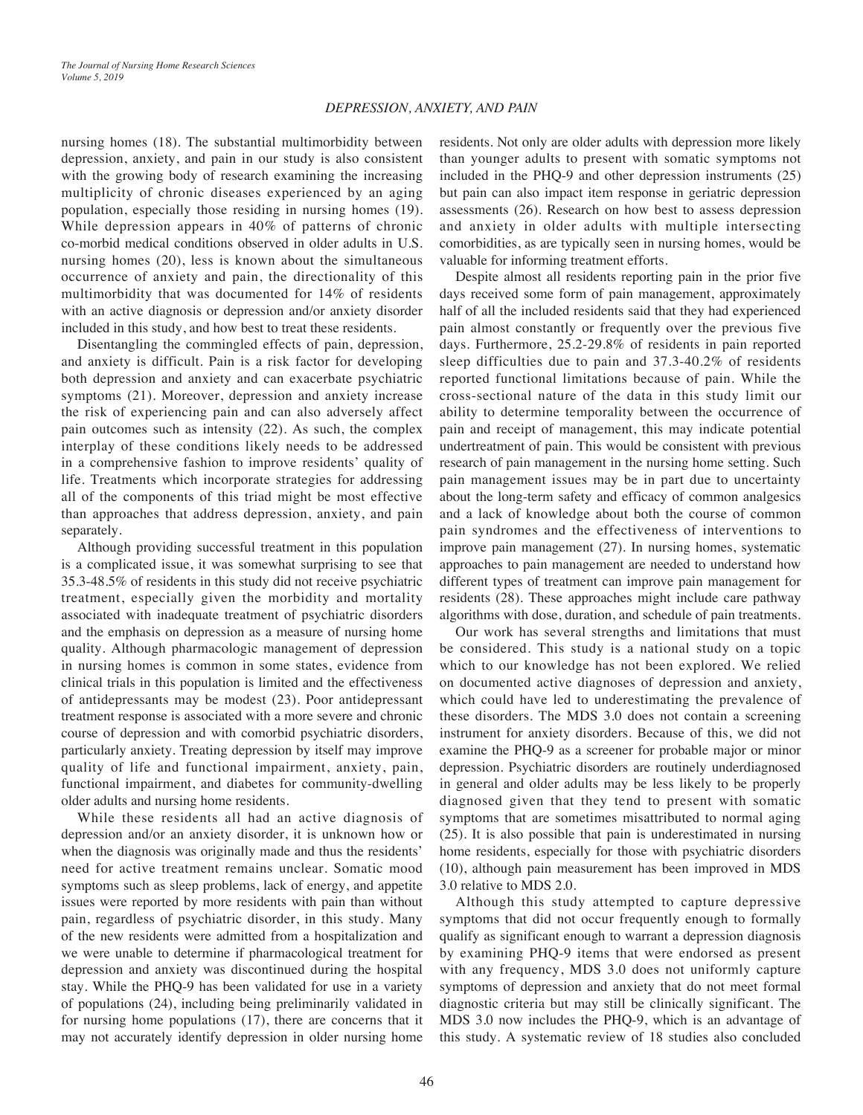## *DEPRESSION, ANXIETY, AND PAIN*

nursing homes (18). The substantial multimorbidity between depression, anxiety, and pain in our study is also consistent with the growing body of research examining the increasing multiplicity of chronic diseases experienced by an aging population, especially those residing in nursing homes (19). While depression appears in 40% of patterns of chronic co-morbid medical conditions observed in older adults in U.S. nursing homes (20), less is known about the simultaneous occurrence of anxiety and pain, the directionality of this multimorbidity that was documented for 14% of residents with an active diagnosis or depression and/or anxiety disorder included in this study, and how best to treat these residents.

Disentangling the commingled effects of pain, depression, and anxiety is difficult. Pain is a risk factor for developing both depression and anxiety and can exacerbate psychiatric symptoms (21). Moreover, depression and anxiety increase the risk of experiencing pain and can also adversely affect pain outcomes such as intensity (22). As such, the complex interplay of these conditions likely needs to be addressed in a comprehensive fashion to improve residents' quality of life. Treatments which incorporate strategies for addressing all of the components of this triad might be most effective than approaches that address depression, anxiety, and pain separately.

Although providing successful treatment in this population is a complicated issue, it was somewhat surprising to see that 35.3-48.5% of residents in this study did not receive psychiatric treatment, especially given the morbidity and mortality associated with inadequate treatment of psychiatric disorders and the emphasis on depression as a measure of nursing home quality. Although pharmacologic management of depression in nursing homes is common in some states, evidence from clinical trials in this population is limited and the effectiveness of antidepressants may be modest (23). Poor antidepressant treatment response is associated with a more severe and chronic course of depression and with comorbid psychiatric disorders, particularly anxiety. Treating depression by itself may improve quality of life and functional impairment, anxiety, pain, functional impairment, and diabetes for community-dwelling older adults and nursing home residents.

While these residents all had an active diagnosis of depression and/or an anxiety disorder, it is unknown how or when the diagnosis was originally made and thus the residents' need for active treatment remains unclear. Somatic mood symptoms such as sleep problems, lack of energy, and appetite issues were reported by more residents with pain than without pain, regardless of psychiatric disorder, in this study. Many of the new residents were admitted from a hospitalization and we were unable to determine if pharmacological treatment for depression and anxiety was discontinued during the hospital stay. While the PHQ-9 has been validated for use in a variety of populations (24), including being preliminarily validated in for nursing home populations (17), there are concerns that it may not accurately identify depression in older nursing home residents. Not only are older adults with depression more likely than younger adults to present with somatic symptoms not included in the PHQ-9 and other depression instruments (25) but pain can also impact item response in geriatric depression assessments (26). Research on how best to assess depression and anxiety in older adults with multiple intersecting comorbidities, as are typically seen in nursing homes, would be valuable for informing treatment efforts.

Despite almost all residents reporting pain in the prior five days received some form of pain management, approximately half of all the included residents said that they had experienced pain almost constantly or frequently over the previous five days. Furthermore, 25.2-29.8% of residents in pain reported sleep difficulties due to pain and 37.3-40.2% of residents reported functional limitations because of pain. While the cross-sectional nature of the data in this study limit our ability to determine temporality between the occurrence of pain and receipt of management, this may indicate potential undertreatment of pain. This would be consistent with previous research of pain management in the nursing home setting. Such pain management issues may be in part due to uncertainty about the long-term safety and efficacy of common analgesics and a lack of knowledge about both the course of common pain syndromes and the effectiveness of interventions to improve pain management (27). In nursing homes, systematic approaches to pain management are needed to understand how different types of treatment can improve pain management for residents (28). These approaches might include care pathway algorithms with dose, duration, and schedule of pain treatments.

Our work has several strengths and limitations that must be considered. This study is a national study on a topic which to our knowledge has not been explored. We relied on documented active diagnoses of depression and anxiety, which could have led to underestimating the prevalence of these disorders. The MDS 3.0 does not contain a screening instrument for anxiety disorders. Because of this, we did not examine the PHQ-9 as a screener for probable major or minor depression. Psychiatric disorders are routinely underdiagnosed in general and older adults may be less likely to be properly diagnosed given that they tend to present with somatic symptoms that are sometimes misattributed to normal aging (25). It is also possible that pain is underestimated in nursing home residents, especially for those with psychiatric disorders (10), although pain measurement has been improved in MDS 3.0 relative to MDS 2.0.

Although this study attempted to capture depressive symptoms that did not occur frequently enough to formally qualify as significant enough to warrant a depression diagnosis by examining PHQ-9 items that were endorsed as present with any frequency, MDS 3.0 does not uniformly capture symptoms of depression and anxiety that do not meet formal diagnostic criteria but may still be clinically significant. The MDS 3.0 now includes the PHQ-9, which is an advantage of this study. A systematic review of 18 studies also concluded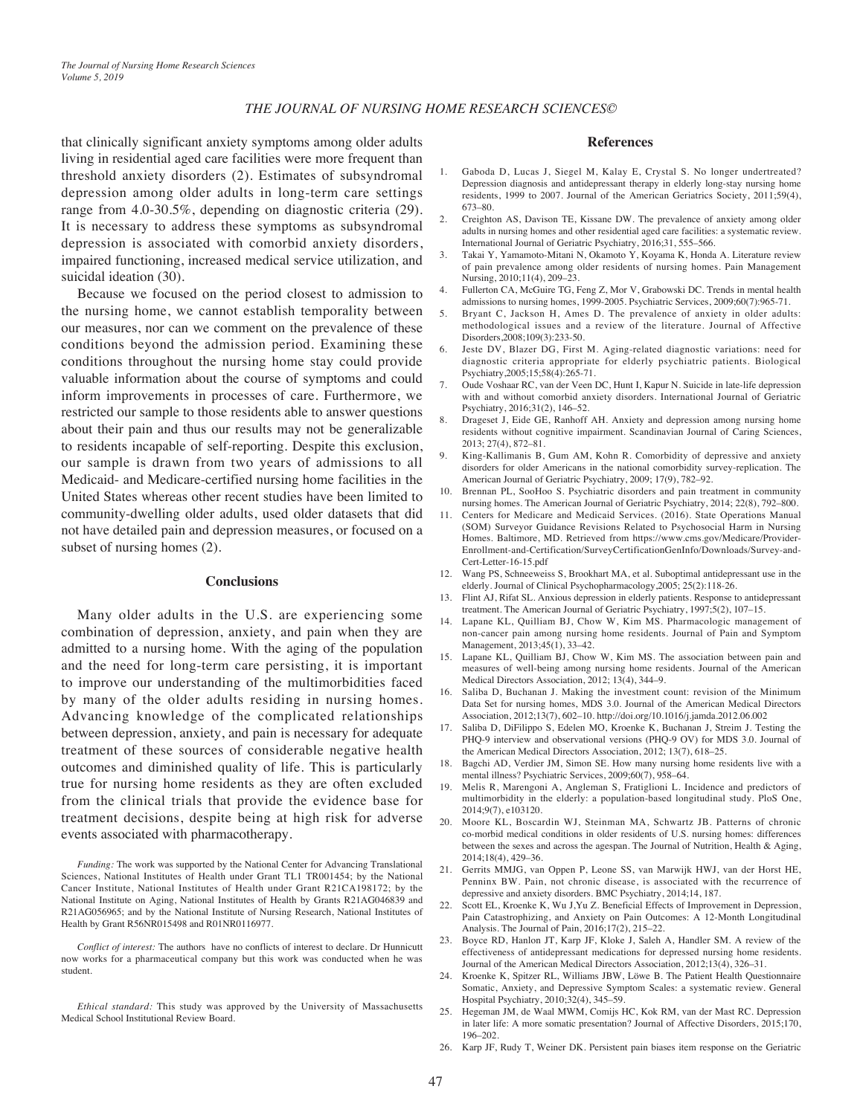that clinically significant anxiety symptoms among older adults living in residential aged care facilities were more frequent than threshold anxiety disorders (2). Estimates of subsyndromal depression among older adults in long-term care settings range from 4.0-30.5%, depending on diagnostic criteria (29). It is necessary to address these symptoms as subsyndromal depression is associated with comorbid anxiety disorders, impaired functioning, increased medical service utilization, and suicidal ideation (30).

Because we focused on the period closest to admission to the nursing home, we cannot establish temporality between our measures, nor can we comment on the prevalence of these conditions beyond the admission period. Examining these conditions throughout the nursing home stay could provide valuable information about the course of symptoms and could inform improvements in processes of care. Furthermore, we restricted our sample to those residents able to answer questions about their pain and thus our results may not be generalizable to residents incapable of self-reporting. Despite this exclusion, our sample is drawn from two years of admissions to all Medicaid- and Medicare-certified nursing home facilities in the United States whereas other recent studies have been limited to community-dwelling older adults, used older datasets that did not have detailed pain and depression measures, or focused on a subset of nursing homes (2).

### **Conclusions**

Many older adults in the U.S. are experiencing some combination of depression, anxiety, and pain when they are admitted to a nursing home. With the aging of the population and the need for long-term care persisting, it is important to improve our understanding of the multimorbidities faced by many of the older adults residing in nursing homes. Advancing knowledge of the complicated relationships between depression, anxiety, and pain is necessary for adequate treatment of these sources of considerable negative health outcomes and diminished quality of life. This is particularly true for nursing home residents as they are often excluded from the clinical trials that provide the evidence base for treatment decisions, despite being at high risk for adverse events associated with pharmacotherapy.

*Funding:* The work was supported by the National Center for Advancing Translational Sciences, National Institutes of Health under Grant TL1 TR001454; by the National Cancer Institute, National Institutes of Health under Grant R21CA198172; by the National Institute on Aging, National Institutes of Health by Grants R21AG046839 and R21AG056965; and by the National Institute of Nursing Research, National Institutes of Health by Grant R56NR015498 and R01NR0116977.

*Conflict of interest:* The authors have no conflicts of interest to declare. Dr Hunnicutt now works for a pharmaceutical company but this work was conducted when he was student.

*Ethical standard:* This study was approved by the University of Massachusetts Medical School Institutional Review Board.

#### **References**

- 1. Gaboda D, Lucas J, Siegel M, Kalay E, Crystal S. No longer undertreated? Depression diagnosis and antidepressant therapy in elderly long-stay nursing home residents, 1999 to 2007. Journal of the American Geriatrics Society, 2011;59(4), 673–80.
- 2. Creighton AS, Davison TE, Kissane DW. The prevalence of anxiety among older adults in nursing homes and other residential aged care facilities: a systematic review. International Journal of Geriatric Psychiatry, 2016;31, 555–566.
- 3. Takai Y, Yamamoto-Mitani N, Okamoto Y, Koyama K, Honda A. Literature review of pain prevalence among older residents of nursing homes. Pain Management Nursing, 2010;11(4), 209–23.
- 4. Fullerton CA, McGuire TG, Feng Z, Mor V, Grabowski DC. Trends in mental health admissions to nursing homes, 1999-2005. Psychiatric Services, 2009;60(7):965-71.
- 5. Bryant C, Jackson H, Ames D. The prevalence of anxiety in older adults: methodological issues and a review of the literature. Journal of Affective Disorders,2008;109(3):233-50.
- Jeste DV, Blazer DG, First M. Aging-related diagnostic variations: need for diagnostic criteria appropriate for elderly psychiatric patients. Biological Psychiatry,2005;15;58(4):265-71.
- 7. Oude Voshaar RC, van der Veen DC, Hunt I, Kapur N. Suicide in late-life depression with and without comorbid anxiety disorders. International Journal of Geriatric Psychiatry, 2016;31(2), 146–52.
- 8. Drageset J, Eide GE, Ranhoff AH. Anxiety and depression among nursing home residents without cognitive impairment. Scandinavian Journal of Caring Sciences, 2013; 27(4), 872–81.
- 9. King-Kallimanis B, Gum AM, Kohn R. Comorbidity of depressive and anxiety disorders for older Americans in the national comorbidity survey-replication. The American Journal of Geriatric Psychiatry, 2009; 17(9), 782–92.
- 10. Brennan PL, SooHoo S. Psychiatric disorders and pain treatment in community nursing homes. The American Journal of Geriatric Psychiatry, 2014; 22(8), 792–800.
- 11. Centers for Medicare and Medicaid Services. (2016). State Operations Manual (SOM) Surveyor Guidance Revisions Related to Psychosocial Harm in Nursing Homes. Baltimore, MD. Retrieved from https://www.cms.gov/Medicare/Provider-Enrollment-and-Certification/SurveyCertificationGenInfo/Downloads/Survey-and-Cert-Letter-16-15.pdf
- 12. Wang PS, Schneeweiss S, Brookhart MA, et al. Suboptimal antidepressant use in the elderly. Journal of Clinical Psychopharmacology,2005; 25(2):118-26.
- 13. Flint AJ, Rifat SL. Anxious depression in elderly patients. Response to antidepressant treatment. The American Journal of Geriatric Psychiatry, 1997;5(2), 107-15.
- 14. Lapane KL, Quilliam BJ, Chow W, Kim MS. Pharmacologic management of non-cancer pain among nursing home residents. Journal of Pain and Symptom Management, 2013;45(1), 33–42.
- 15. Lapane KL, Quilliam BJ, Chow W, Kim MS. The association between pain and measures of well-being among nursing home residents. Journal of the American Medical Directors Association, 2012; 13(4), 344–9.
- 16. Saliba D, Buchanan J. Making the investment count: revision of the Minimum Data Set for nursing homes, MDS 3.0. Journal of the American Medical Directors Association, 2012;13(7), 602–10. http://doi.org/10.1016/j.jamda.2012.06.002
- 17. Saliba D, DiFilippo S, Edelen MO, Kroenke K, Buchanan J, Streim J. Testing the PHQ-9 interview and observational versions (PHQ-9 OV) for MDS 3.0. Journal of the American Medical Directors Association, 2012; 13(7), 618–25.
- 18. Bagchi AD, Verdier JM, Simon SE. How many nursing home residents live with a mental illness? Psychiatric Services, 2009;60(7), 958–64.
- 19. Melis R, Marengoni A, Angleman S, Fratiglioni L. Incidence and predictors of multimorbidity in the elderly: a population-based longitudinal study. PloS One, 2014;9(7), e103120.
- 20. Moore KL, Boscardin WJ, Steinman MA, Schwartz JB. Patterns of chronic co-morbid medical conditions in older residents of U.S. nursing homes: differences between the sexes and across the agespan. The Journal of Nutrition, Health & Aging, 2014;18(4), 429–36.
- 21. Gerrits MMJG, van Oppen P, Leone SS, van Marwijk HWJ, van der Horst HE, Penninx BW. Pain, not chronic disease, is associated with the recurrence of depressive and anxiety disorders. BMC Psychiatry, 2014;14, 187.
- 22. Scott EL, Kroenke K, Wu J,Yu Z. Beneficial Effects of Improvement in Depression, Pain Catastrophizing, and Anxiety on Pain Outcomes: A 12-Month Longitudinal Analysis. The Journal of Pain, 2016;17(2), 215–22.
- 23. Boyce RD, Hanlon JT, Karp JF, Kloke J, Saleh A, Handler SM. A review of the effectiveness of antidepressant medications for depressed nursing home residents. Journal of the American Medical Directors Association, 2012;13(4), 326–31.
- 24. Kroenke K, Spitzer RL, Williams JBW, Löwe B. The Patient Health Questionnaire Somatic, Anxiety, and Depressive Symptom Scales: a systematic review. General Hospital Psychiatry, 2010;32(4), 345–59.
- 25. Hegeman JM, de Waal MWM, Comijs HC, Kok RM, van der Mast RC. Depression in later life: A more somatic presentation? Journal of Affective Disorders, 2015;170, 196–202.
- 26. Karp JF, Rudy T, Weiner DK. Persistent pain biases item response on the Geriatric